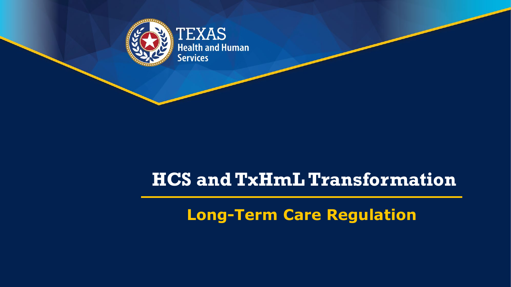

**TEXAS Health and Human Services** 

#### **HCS and TxHmL Transformation**

**Long-Term Care Regulation**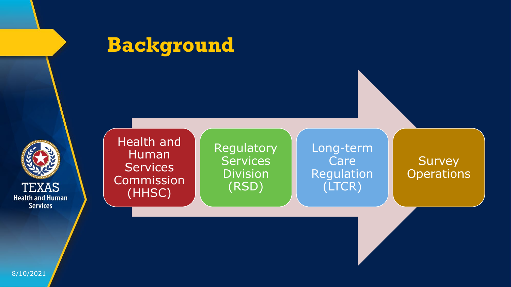

#### **Background**

Health and Human **Services** Commission (HHSC)

Regulatory **Services** Division (RSD)

Long-term Care Regulation (LTCR)

Survey **Operations**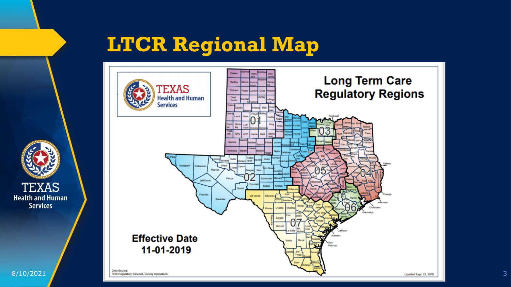

## **LTCR Regional Map**



8/10/2021

3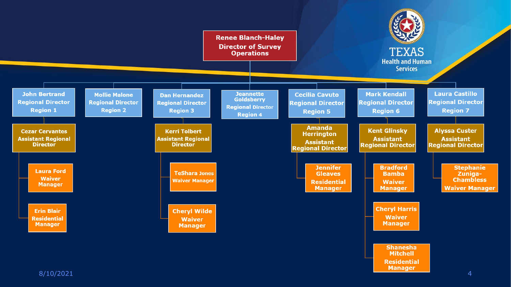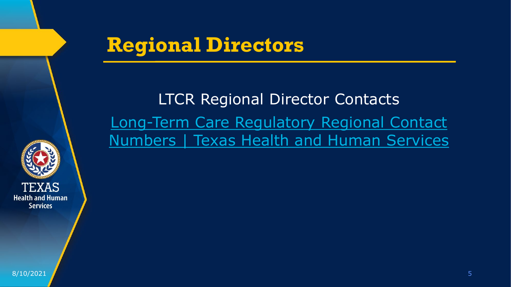

#### **Regional Directors**

LTCR Regional Director Contacts [Long-Term Care Regulatory Regional Contact](https://www.hhs.texas.gov/about-hhs/find-us/long-term-care-regulatory-regional-contact-numbers)  Numbers | Texas Health and Human Services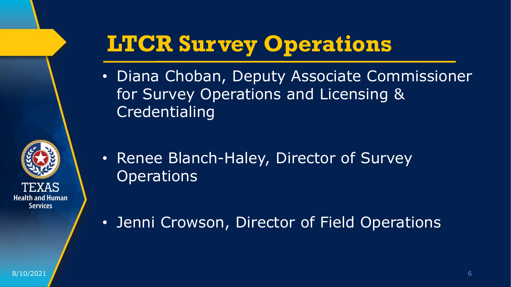# **LTCR Survey Operations**

• Diana Choban, Deputy Associate Commissioner for Survey Operations and Licensing & Credentialing



- Renee Blanch-Haley, Director of Survey **Operations**
- Jenni Crowson, Director of Field Operations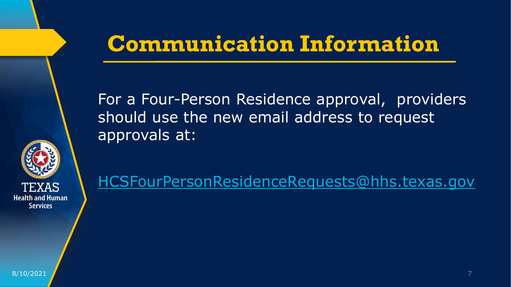

# **Communication Information**

For a Four-Person Residence approval, providers should use the new email address to request approvals at:

[HCSFourPersonResidenceRequests@hhs.texas.gov](mailto:HCSFourPersonResidenceRequests@hhs.texas.gov)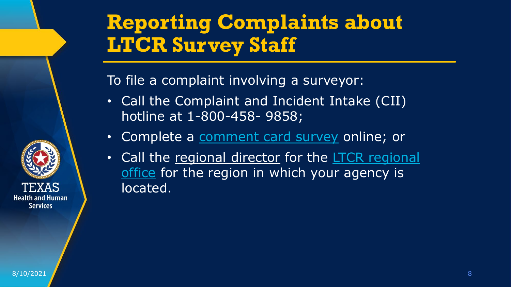# **Reporting Complaints about LTCR Survey Staff**

To file a complaint involving a surveyor:

- Call the Complaint and Incident Intake (CII) hotline at 1-800-458- 9858;
- Complete a [comment card survey](https://www.surveymonkey.com/r/2GV6F2K) online; or
- Call the regional director for the LTCR regional office [for the region in which your agency is](https://hhs.texas.gov/about-hhs/find-us/long-term-care-regulatory-regional-contact-numbers)  located.

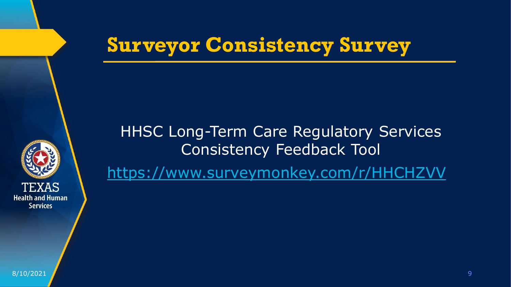### **Surveyor Consistency Survey**

#### HHSC Long-Term Care Regulatory Services Consistency Feedback Tool <https://www.surveymonkey.com/r/HHCHZVV>

TEXAS **Health and Human Services**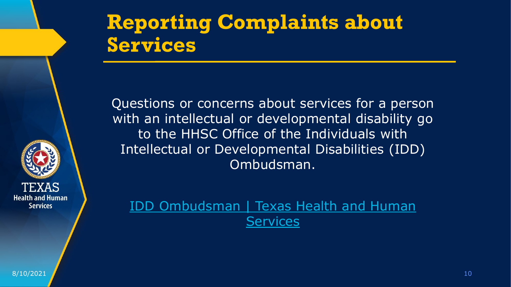

# **Reporting Complaints about Services**

Questions or concerns about services for a person with an intellectual or developmental disability go to the HHSC Office of the Individuals with Intellectual or Developmental Disabilities (IDD) Ombudsman.

[IDD Ombudsman | Texas Health and Human](https://www.hhs.texas.gov/about-hhs/your-rights/office-ombudsman/idd-ombudsman)  **Services**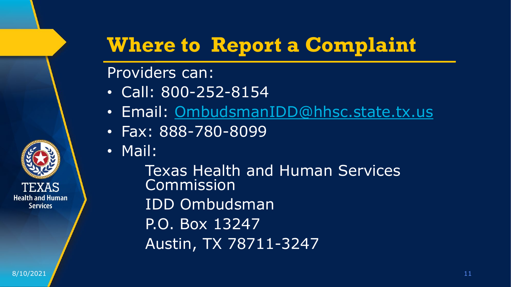## **Where to Report a Complaint**

#### Providers can:

- Call: 800-252-8154
- Email: [OmbudsmanIDD@hhsc.state.tx.us](mailto:OmbudsmanIDD@hhsc.state.tx.us)
- Fax: 888-780-8099
- Mail:

Texas Health and Human Services Commission IDD Ombudsman P.O. Box 13247 Austin, TX 78711-3247

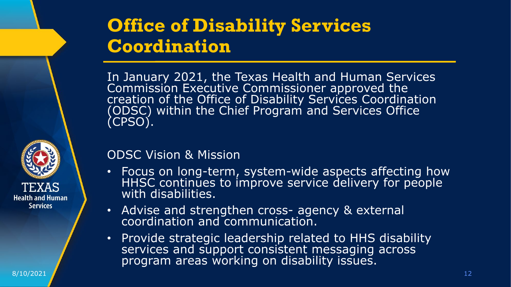

### **Office of Disability Services Coordination**

In January 2021, the Texas Health and Human Services Commission Executive Commissioner approved the creation of the Office of Disability Services Coordination (ODSC) within the Chief Program and Services Office (CPSO).

#### ODSC Vision & Mission

- Focus on long-term, system-wide aspects affecting how HHSC continues to improve service delivery for people with disabilities.
- Advise and strengthen cross- agency & external coordination and communication.
- Provide strategic leadership related to HHS disability services and support consistent messaging across program areas working on disability issues.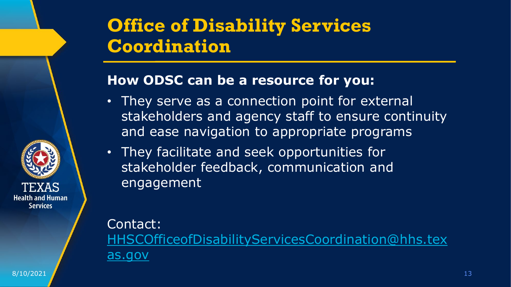

#### **How ODSC can be a resource for you:**

- They serve as a connection point for external stakeholders and agency staff to ensure continuity and ease navigation to appropriate programs
- They facilitate and seek opportunities for stakeholder feedback, communication and engagement

Contact: [HHSCOfficeofDisabilityServicesCoordination@hhs.tex](mailto:HHSCOfficeofDisabilityServicesCoordination@hhs.texas.gov) as.gov

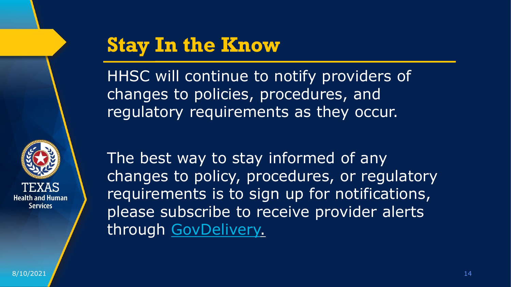

### **Stay In the Know**

HHSC will continue to notify providers of changes to policies, procedures, and regulatory requirements as they occur.

The best way to stay informed of any changes to policy, procedures, or regulatory requirements is to sign up for notifications, please subscribe to receive provider alerts through [GovDelivery.](https://service.govdelivery.com/accounts/TXHHSC/subscriber/new)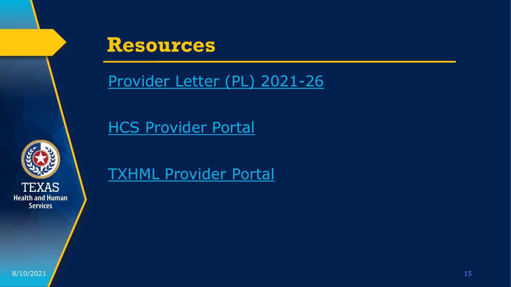

#### **Resources**

[Provider Letter \(PL\) 2021-26](https://apps.hhs.texas.gov/providers/communications/2021/letters/PL2021-26.pdf)

**[HCS Provider Portal](https://www.hhs.texas.gov/doing-business-hhs/provider-portals/long-term-care-providers/home-community-based-services-hcs)** 

[TXHML Provider Portal](https://www.hhs.texas.gov/doing-business-hhs/provider-portals/long-term-care-providers/texas-home-living-txhml)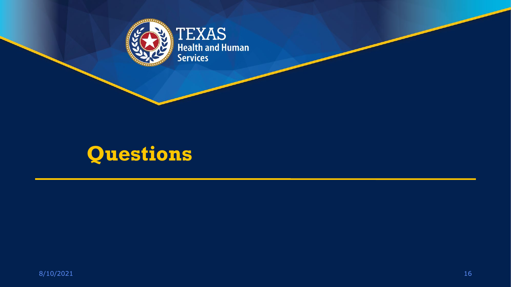

TEXAS<br>Health and Human<br>Services

# **Questions**